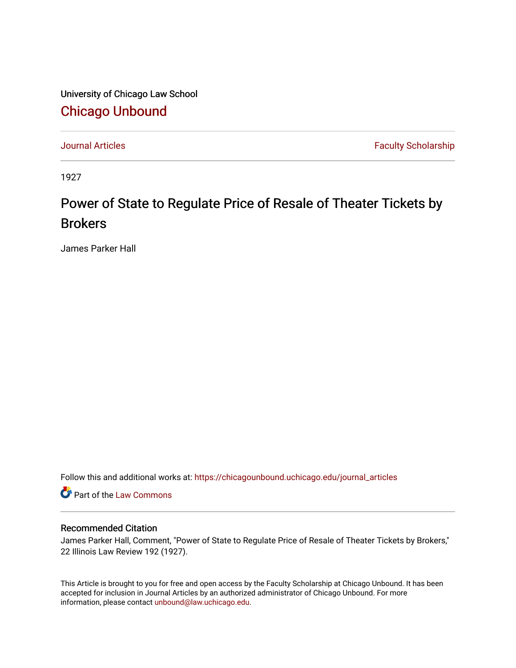University of Chicago Law School [Chicago Unbound](https://chicagounbound.uchicago.edu/)

[Journal Articles](https://chicagounbound.uchicago.edu/journal_articles) **Faculty Scholarship Faculty Scholarship** 

1927

## Power of State to Regulate Price of Resale of Theater Tickets by **Brokers**

James Parker Hall

Follow this and additional works at: [https://chicagounbound.uchicago.edu/journal\\_articles](https://chicagounbound.uchicago.edu/journal_articles?utm_source=chicagounbound.uchicago.edu%2Fjournal_articles%2F9300&utm_medium=PDF&utm_campaign=PDFCoverPages) 

Part of the [Law Commons](http://network.bepress.com/hgg/discipline/578?utm_source=chicagounbound.uchicago.edu%2Fjournal_articles%2F9300&utm_medium=PDF&utm_campaign=PDFCoverPages)

## Recommended Citation

James Parker Hall, Comment, "Power of State to Regulate Price of Resale of Theater Tickets by Brokers," 22 Illinois Law Review 192 (1927).

This Article is brought to you for free and open access by the Faculty Scholarship at Chicago Unbound. It has been accepted for inclusion in Journal Articles by an authorized administrator of Chicago Unbound. For more information, please contact [unbound@law.uchicago.edu](mailto:unbound@law.uchicago.edu).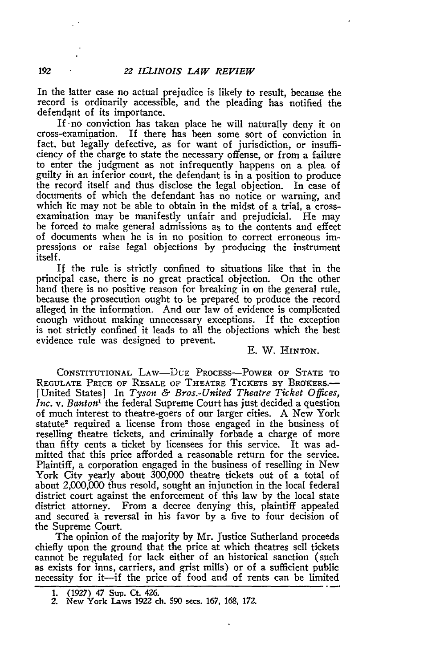In the latter case no actual prejudice is likely to result, because the record is ordinarily accessible, and the pleading has notified the defendant of its importance.

If -no conviction has taken place he will naturally deny it on cross-examination. If there has been some sort of conviction in fact, but legally defective, as for want of jurisdiction, or insufficiency of the charge to state the necessary offense, or from a failure to enter the judgment as not infrequently happens on a plea of guilty in an inferior court, the defendant is in a position to produce the record itself and thus disclose the legal objection. In case of documents of which the defendant has no notice or warning, and which he may not be able to obtain in the midst of a trial, a crossexamination may be manifestly unfair and prejudicial. He may be forced to make general admissions as to the contents and effect of documents when he is in no position to correct erroneous impressions or raise legal objections by producing the instrument itself.

If the rule is strictly confined to situations like that in the principal case, there is no great practical objection. On the other hand there is no positive reason for breaking in on the general rule, because the prosecution ought to be prepared to produce the record alleged in the information. And our law of evidence is complicated enough without making unnecessary exceptions. If the exception is not strictly confined it leads to all the objections which the best evidence rule was designed to prevent.

## E. W. HINTON.

CONSTITUTIONAL LAW-DUE PROCESS-POWER OF **STATE** TO REGULATE PRICE OF RESALE OF THEATRE TICKETS BY BROKERS.-[United States] In *Tyson & Bros.-United Theatre Ticket Offices, Inc. v. Banton"* the federal Supreme Court has just decided a question of much interest to theatre-goers of our larger cities. A New York statute<sup>2</sup> required a license from those engaged in the business of reselling theatre tickets, and criminally forbade a charge of more than fifty cents a ticket **by** licensees for this service. It was admitted that this price afforded a reasonable return for the service. Plaintiff, a corporation engaged in the business of reselling in New York City yearly about 300,000 theatre tickets out of a total of about 2,000,000 thus resold, sought an injunction in the local federal district court against the enforcement of this law **by** the local state district attorney. From a decree denying this, plaintiff appealed and secured a reversal in his favor **by** a five to four decision of the Supreme Court.

The opinion of the majority **by** Mr. justice Sutherland proceeds chiefly upon the ground that the price at which theatres sell tickets cannot be regulated for lack either of an historical sanction (such as exists for inns, carriers, and grist mills) or of a sufficient public necessity for it-if the price of food and of rents can be limited

**<sup>1. (1927)</sup>** 47 Sup. Ct. **426. 2.** New York Laws **1922** ch. **590** secs. **167, 168. 172.**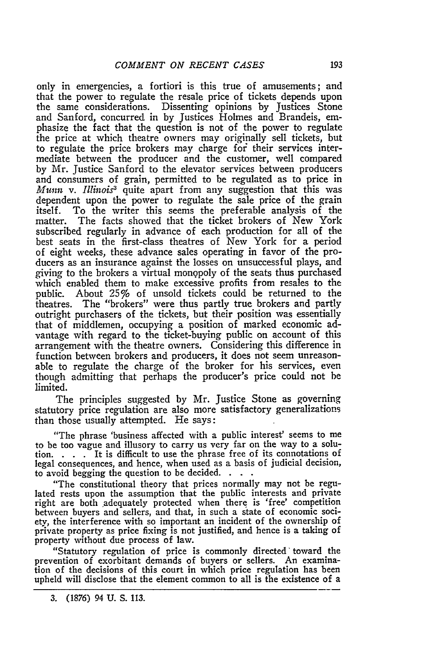only in emergencies, a fortiori is this true of amusements; and that the power to regulate the resale price of tickets depends upon the same considerations. Dissenting opinions by Justices Stone and Sanford, concurred in by Justices Holmes and Brandeis, emphasize the fact that the question is not of the power to regulate the price at which theatre owners may originally sell tickets, but to regulate the price brokers may charge for their services intermediate between the producer and the customer, well compared by Mr. Justice Sanford to the elevator services between producers and consumers of grain, permitted to be regulated as to price in *Munn v. Il1inois3* quite apart from any suggestion that this was dependent upon the power to regulate the sale price of the grain itself. To the writer this seems the preferable analysis of the matter. The facts showed that the ticket brokers of New York subscribed regularly in advance of each production for all of the best seats in the first-class theatres of New York for a period of eight weeks, these advance sales operating in favor of the producers as an insurance against the losses on unsuccessful plays, and giving to the brokers a virtual monopoly of the seats thus purchased which enabled them to make excessive profits from resales to the public. About 25% of unsold tickets could be returned to the theatres. The "brokers" were thus partly true brokers and partly outright purchasers of the tickets, but their position was essentially that of middlemen, occupying a position of marked economic advantage with regard to the ticket-buying public on account of this arrangement with the theatre owners. Considering this difference in function between brokers and producers, it does not seem unreasonable to regulate the charge of the broker for his services, even though admitting that perhaps the producer's price could not be limited.

The principles suggested by Mr. Justice Stone as governing statutory price regulation are also more satisfactory generalizations than those usually attempted. He says:

"The phrase 'business affected with a public interest' seems to me to be too vague and illusory to carry us very far on the way to a solution. . **.** . It is difficult to use the phrase free of its connotations of legal consequences, and hence, when used as a basis of judicial decision, to avoid begging the question to be decided. **.**

"The constitutional theory that prices normally may not be regulated rests upon the assumption that the public interests and private right are both adequately protected when there is 'free' competition between buyers and sellers, and that, in such a state of economic society, the interference with so important an incident of the ownership of private property as price fixing is not justified, and hence is a taking of property without due process of law.

"Statutory regulation of price is commonly directed toward the prevention of exorbitant demands of buyers or sellers. An examination of the decisions of this court in which price regulation has been upheld will disclose that the element common to all is the existence of a

<sup>3. (1876) 94</sup> U. S. 113.